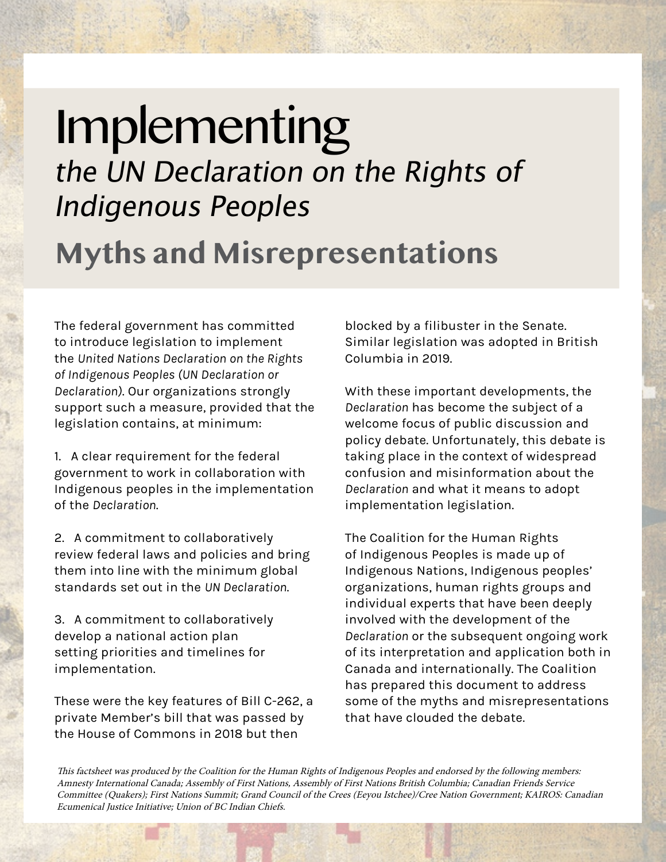# Implementing the UN Declaration on the Rights of Indigenous Peoples

## **Myths and Misrepresentations**

The federal government has committed to introduce legislation to implement the *United Nations Declaration on the Rights of Indigenous Peoples (UN Declaration or Declaration)*. Our organizations strongly support such a measure, provided that the legislation contains, at minimum:

1. A clear requirement for the federal government to work in collaboration with Indigenous peoples in the implementation of the *Declaration*.

2. A commitment to collaboratively review federal laws and policies and bring them into line with the minimum global standards set out in the *UN Declaration*.

3. A commitment to collaboratively develop a national action plan setting priorities and timelines for implementation.

These were the key features of Bill C-262, a private Member's bill that was passed by the House of Commons in 2018 but then

blocked by a filibuster in the Senate. Similar legislation was adopted in British Columbia in 2019.

With these important developments, the *Declaration* has become the subject of a welcome focus of public discussion and policy debate. Unfortunately, this debate is taking place in the context of widespread confusion and misinformation about the *Declaration* and what it means to adopt implementation legislation.

The Coalition for the Human Rights of Indigenous Peoples is made up of Indigenous Nations, Indigenous peoples' organizations, human rights groups and individual experts that have been deeply involved with the development of the *Declaration* or the subsequent ongoing work of its interpretation and application both in Canada and internationally. The Coalition has prepared this document to address some of the myths and misrepresentations that have clouded the debate.

This factsheet was produced by the Coalition for the Human Rights of Indigenous Peoples and endorsed by the following members: Amnesty International Canada; Assembly of First Nations, Assembly of First Nations British Columbia; Canadian Friends Service Committee (Quakers); First Nations Summit; Grand Council of the Crees (Eeyou Istchee)/Cree Nation Government; KAIROS: Canadian Ecumenical Justice Initiative; Union of BC Indian Chiefs.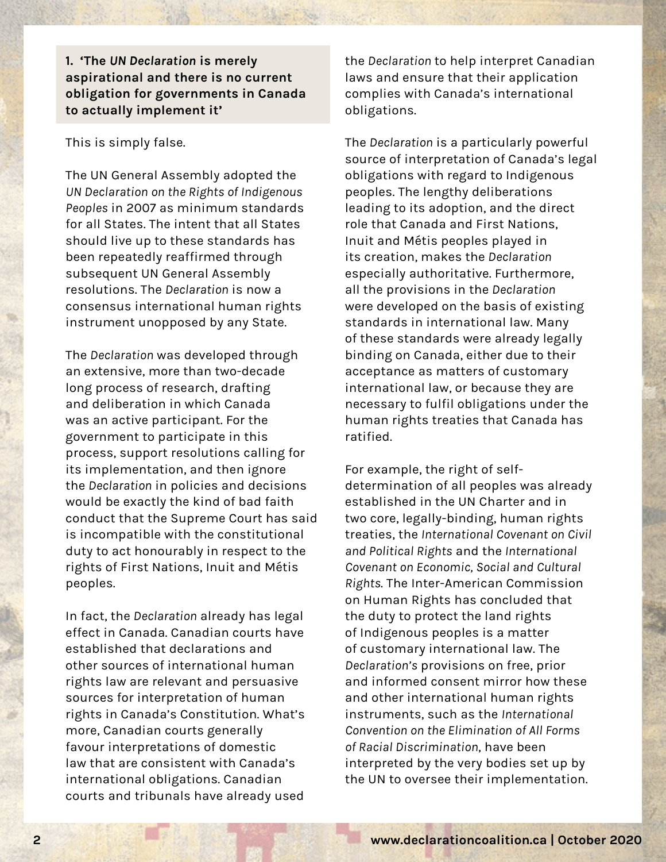**1. 'The** *UN Declaration* **is merely aspirational and there is no current obligation for governments in Canada to actually implement it'**

#### This is simply false.

The UN General Assembly adopted the *UN Declaration on the Rights of Indigenous Peoples* in 2007 as minimum standards" for all States. The intent that all States should live up to these standards has been repeatedly reaffirmed through subsequent UN General Assembly resolutions. The *Declaration* is now a consensus international human rights instrument unopposed by any State.

The *Declaration* was developed through an extensive, more than two-decade long process of research, drafting and deliberation in which Canada was an active participant. For the government to participate in this process, support resolutions calling for its implementation, and then ignore the *Declaration* in policies and decisions would be exactly the kind of bad faith conduct that the Supreme Court has said is incompatible with the constitutional duty to act honourably in respect to the rights of First Nations, Inuit and Métis peoples.

In fact, the *Declaration* already has legal effect in Canada. Canadian courts have established that declarations and other sources of international human rights law are relevant and persuasive sources for interpretation of human rights in Canada's Constitution. What's more, Canadian courts generally favour interpretations of domestic law that are consistent with Canada's international obligations. Canadian courts and tribunals have already used

the *Declaration* to help interpret Canadian laws and ensure that their application complies with Canada's international obligations.

The *Declaration* is a particularly powerful source of interpretation of Canada's legal obligations with regard to Indigenous peoples. The lengthy deliberations leading to its adoption, and the direct role that Canada and First Nations, Inuit and Métis peoples played in its creation, makes the *Declaration* especially authoritative. Furthermore, all the provisions in the *Declaration* were developed on the basis of existing standards in international law. Many of these standards were already legally binding on Canada, either due to their acceptance as matters of customary international law, or because they are necessary to fulfil obligations under the human rights treaties that Canada has ratified.

For example, the right of selfdetermination of all peoples was already established in the UN Charter and in two core, legally-binding, human rights treaties, the *International Covenant on Civil and Political Rights* and the *International Covenant on Economic, Social and Cultural Rights*. The Inter-American Commission on Human Rights has concluded that the duty to protect the land rights of Indigenous peoples is a matter of customary international law. The *Declaration's* provisions on free, prior and informed consent mirror how these and other international human rights instruments, such as the *International Convention on the Elimination of All Forms of Racial Discrimination*, have been interpreted by the very bodies set up by the UN to oversee their implementation.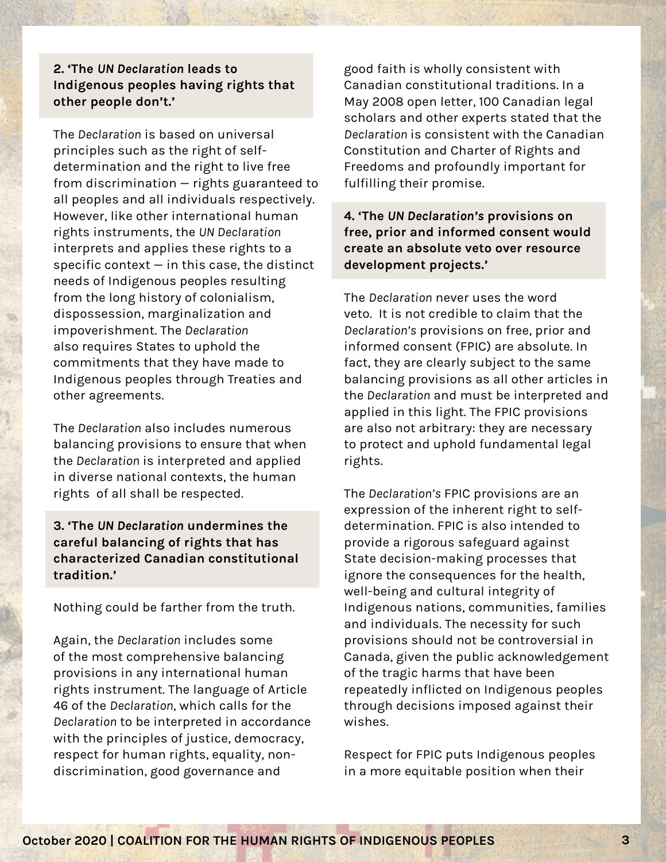#### **2. 'The** *UN Declaration* **leads to Indigenous peoples having rights that other people don't.'**

The *Declaration* is based on universal principles such as the right of selfdetermination and the right to live free from discrimination — rights guaranteed to all peoples and all individuals respectively. However, like other international human rights instruments, the *UN Declaration* interprets and applies these rights to a specific context  $-$  in this case, the distinct needs of Indigenous peoples resulting from the long history of colonialism, dispossession, marginalization and impoverishment. The *Declaration* also requires States to uphold the commitments that they have made to Indigenous peoples through Treaties and other agreements.

The *Declaration* also includes numerous balancing provisions to ensure that when the *Declaration* is interpreted and applied in diverse national contexts, the human rights of all shall be respected.

#### **3. 'The** *UN Declaration* **undermines the careful balancing of rights that has characterized Canadian constitutional tradition.'**

Nothing could be farther from the truth.

Again, the *Declaration* includes some of the most comprehensive balancing provisions in any international human rights instrument. The language of Article 46 of the *Declaration*, which calls for the *Declaration* to be interpreted in accordance with the principles of justice, democracy, respect for human rights, equality, nondiscrimination, good governance and

good faith is wholly consistent with Canadian constitutional traditions. In a May 2008 open letter, 100 Canadian legal scholars and other experts stated that the *Declaration* is consistent with the Canadian Constitution and Charter of Rights and Freedoms and profoundly important for fulfilling their promise.

**4. 'The** *UN Declaration's* **provisions on free, prior and informed consent would create an absolute veto over resource development projects.'**

The *Declaration* never uses the word veto. It is not credible to claim that the *Declaration's* provisions on free, prior and informed consent (FPIC) are absolute. In fact, they are clearly subject to the same balancing provisions as all other articles in the *Declaration* and must be interpreted and applied in this light. The FPIC provisions are also not arbitrary: they are necessary to protect and uphold fundamental legal rights.

The *Declaration's* FPIC provisions are an expression of the inherent right to selfdetermination. FPIC is also intended to provide a rigorous safeguard against State decision-making processes that ignore the consequences for the health, well-being and cultural integrity of Indigenous nations, communities, families and individuals. The necessity for such provisions should not be controversial in Canada, given the public acknowledgement of the tragic harms that have been repeatedly inflicted on Indigenous peoples through decisions imposed against their wishes.

Respect for FPIC puts Indigenous peoples in a more equitable position when their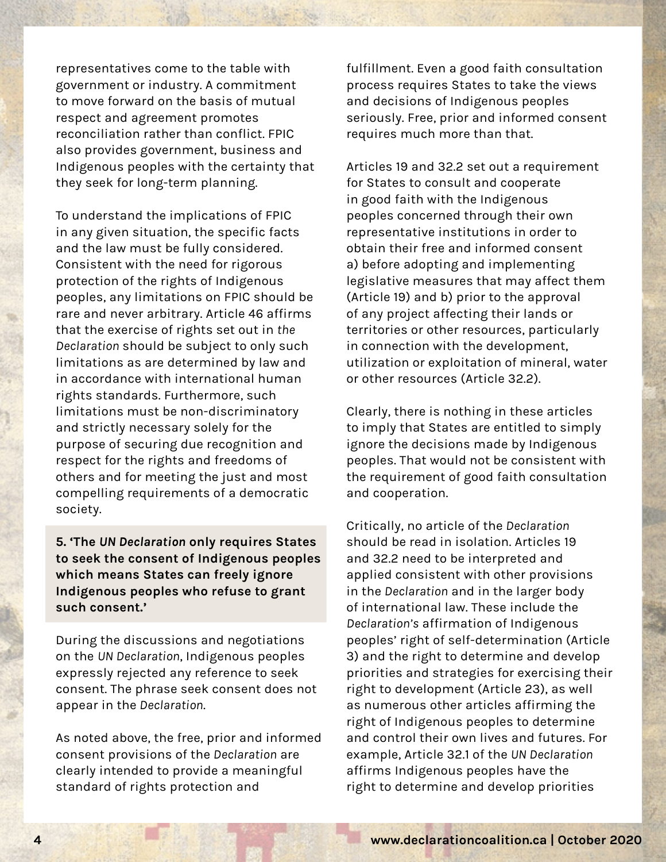representatives come to the table with government or industry. A commitment to move forward on the basis of mutual respect and agreement promotes reconciliation rather than conflict. FPIC also provides government, business and Indigenous peoples with the certainty that they seek for long-term planning.

To understand the implications of FPIC in any given situation, the specific facts and the law must be fully considered. Consistent with the need for rigorous protection of the rights of Indigenous peoples, any limitations on FPIC should be rare and never arbitrary. Article 46 affirms that the exercise of rights set out in *the Declaration* should be subject to only such limitations as are determined by law and in accordance with international human rights standards. Furthermore, such limitations must be non-discriminatory" and strictly necessary solely for the purpose of securing due recognition and respect for the rights and freedoms of others and for meeting the just and most compelling requirements of a democratic society.

**5. 'The** *UN Declaration* **only requires States to seek the consent of Indigenous peoples which means States can freely ignore Indigenous peoples who refuse to grant such consent.'**

During the discussions and negotiations on the *UN Declaration*, Indigenous peoples expressly rejected any reference to seek" consent. The phrase seek consent does not appear in the *Declaration*.

As noted above, the free, prior and informed consent provisions of the *Declaration* are clearly intended to provide a meaningful standard of rights protection and

fulfillment. Even a good faith consultation process requires States to take the views and decisions of Indigenous peoples seriously. Free, prior and informed consent requires much more than that.

Articles 19 and 32.2 set out a requirement for States to consult and cooperate in good faith with the Indigenous peoples concerned through their own representative institutions in order to obtain their free and informed consent a) before adopting and implementing legislative measures that may affect them (Article 19) and b) prior to the approval of any project affecting their lands or territories or other resources, particularly in connection with the development, utilization or exploitation of mineral, water or other resources (Article 32.2).

Clearly, there is nothing in these articles to imply that States are entitled to simply ignore the decisions made by Indigenous peoples. That would not be consistent with the requirement of good faith consultation and cooperation.

Critically, no article of the *Declaration* should be read in isolation. Articles 19 and 32.2 need to be interpreted and applied consistent with other provisions in the *Declaration* and in the larger body of international law. These include the *Declaration's* affirmation of Indigenous peoples' right of self-determination (Article 3) and the right to determine and develop priorities and strategies for exercising their right to development (Article 23), as well as numerous other articles affirming the right of Indigenous peoples to determine and control their own lives and futures. For example, Article 32.1 of the *UN Declaration* affirms Indigenous peoples have the right to determine and develop priorities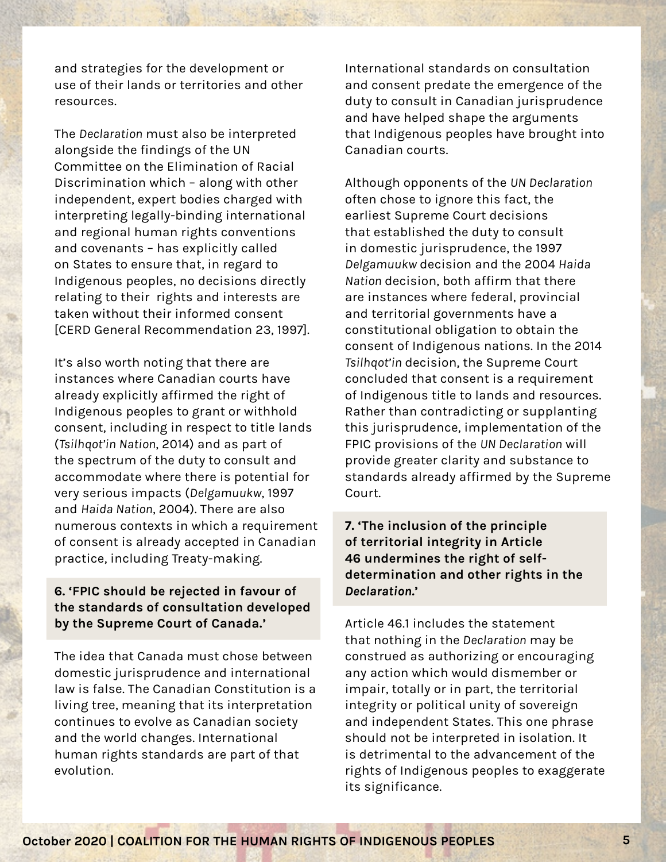and strategies for the development or use of their lands or territories and other resources."

The *Declaration* must also be interpreted alongside the findings of the UN Committee on the Elimination of Racial Discrimination which – along with other independent, expert bodies charged with interpreting legally-binding international and regional human rights conventions and covenants – has explicitly called on States to ensure that, in regard to Indigenous peoples, no decisions directly relating to their rights and interests are taken without their informed consent [CERD General Recommendation 23, 1997].

It's also worth noting that there are instances where Canadian courts have already explicitly affirmed the right of Indigenous peoples to grant or withhold consent, including in respect to title lands (*Tsilhqot'in Nation*, 2014) and as part of the spectrum of the duty to consult and accommodate where there is potential for very serious impacts (*Delgamuukw*, 1997 and *Haida Nation*, 2004). There are also numerous contexts in which a requirement of consent is already accepted in Canadian practice, including Treaty-making.

#### **6. 'FPIC should be rejected in favour of the standards of consultation developed by the Supreme Court of Canada.'**

The idea that Canada must chose between domestic jurisprudence and international law is false. The Canadian Constitution is a living tree, meaning that its interpretation continues to evolve as Canadian society and the world changes. International human rights standards are part of that evolution.

International standards on consultation and consent predate the emergence of the duty to consult in Canadian jurisprudence and have helped shape the arguments that Indigenous peoples have brought into Canadian courts.

Although opponents of the *UN Declaration* often chose to ignore this fact, the earliest Supreme Court decisions that established the duty to consult in domestic jurisprudence, the 1997 *Delgamuukw* decision and the 2004 *Haida Nation* decision, both affirm that there are instances where federal, provincial and territorial governments have a constitutional obligation to obtain the consent of Indigenous nations. In the 2014 *Tsilhqot'in* decision, the Supreme Court concluded that consent is a requirement of Indigenous title to lands and resources. Rather than contradicting or supplanting this jurisprudence, implementation of the FPIC provisions of the *UN Declaration* will provide greater clarity and substance to standards already affirmed by the Supreme Court.

### **7. 'The inclusion of the principle of territorial integrity in Article 46 undermines the right of selfdetermination and other rights in the** *Declaration.***'**

Article 46.1 includes the statement that nothing in the *Declaration* may be construed as authorizing or encouraging any action which would dismember or impair, totally or in part, the territorial integrity or political unity of sovereign and independent States. This one phrase should not be interpreted in isolation. It is detrimental to the advancement of the rights of Indigenous peoples to exaggerate its significance.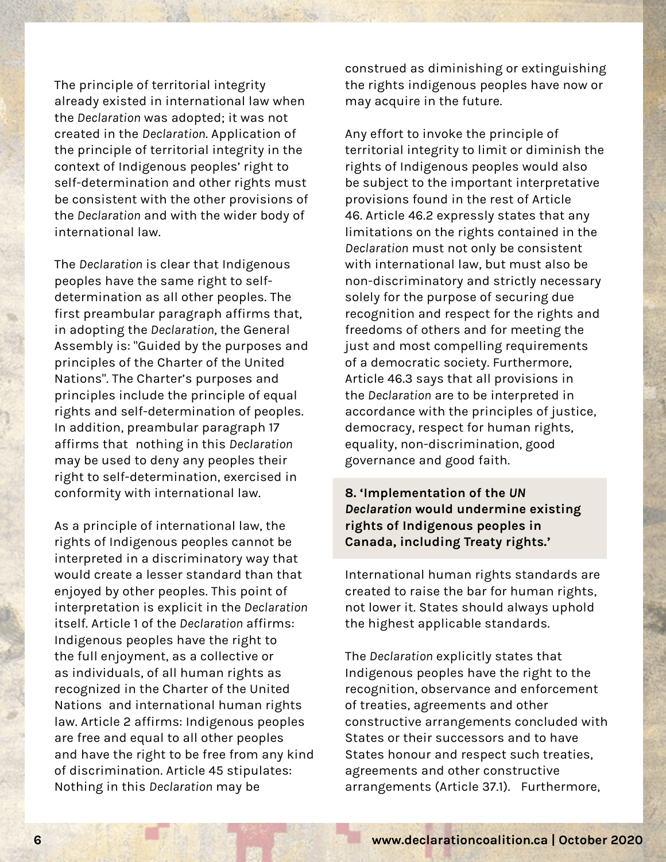The principle of territorial integrity already existed in international law when the *Declaration* was adopted; it was not created in the *Declaration*. Application of the principle of territorial integrity in the context of Indigenous peoples' right to self-determination and other rights must be consistent with the other provisions of the *Declaration* and with the wider body of international law.

The *Declaration* is clear that Indigenous peoples have the same right to selfdetermination as all other peoples. The first preambular paragraph affirms that, in adopting the *Declaration*, the General Assembly is: "Guided by the purposes and principles of the Charter of the United Nations". The Charter's purposes and principles include the principle of equal rights and self-determination of peoples. In addition, preambular paragraph 17 affirms that nothing in this *Declaration* may be used to deny any peoples their right to self-determination, exercised in conformity with international law.

As a principle of international law, the rights of Indigenous peoples cannot be interpreted in a discriminatory way that would create a lesser standard than that enjoyed by other peoples. This point of interpretation is explicit in the *Declaration* itself. Article 1 of the *Declaration* affirms: Indigenous peoples have the right to the full enjoyment, as a collective or as individuals, of all human rights as recognized in the Charter of the United Nations and international human rights law. Article 2 affirms: Indigenous peoples are free and equal to all other peoples and have the right to be free from any kind of discrimination. Article 45 stipulates: Nothing in this *Declaration* may be

construed as diminishing or extinguishing the rights indigenous peoples have now or may acquire in the future.

Any effort to invoke the principle of territorial integrity to limit or diminish the rights of Indigenous peoples would also be subject to the important interpretative provisions found in the rest of Article 46. Article 46.2 expressly states that any limitations on the rights contained in the *Declaration* must not only be consistent with international law, but must also be non-discriminatory and strictly necessary solely for the purpose of securing due recognition and respect for the rights and freedoms of others and for meeting the just and most compelling requirements of a democratic society. Furthermore, Article 46.3 says that all provisions in the *Declaration* are to be interpreted in accordance with the principles of justice, democracy, respect for human rights, equality, non-discrimination, good governance and good faith."

#### **8. 'Implementation of the** *UN Declaration* **would undermine existing rights of Indigenous peoples in Canada, including Treaty rights.'**

International human rights standards are created to raise the bar for human rights, not lower it. States should always uphold the highest applicable standards.

The *Declaration* explicitly states that Indigenous peoples have the right to the recognition, observance and enforcement of treaties, agreements and other constructive arrangements concluded with States or their successors and to have States honour and respect such treaties, agreements and other constructive arrangements (Article 37.1). Furthermore,